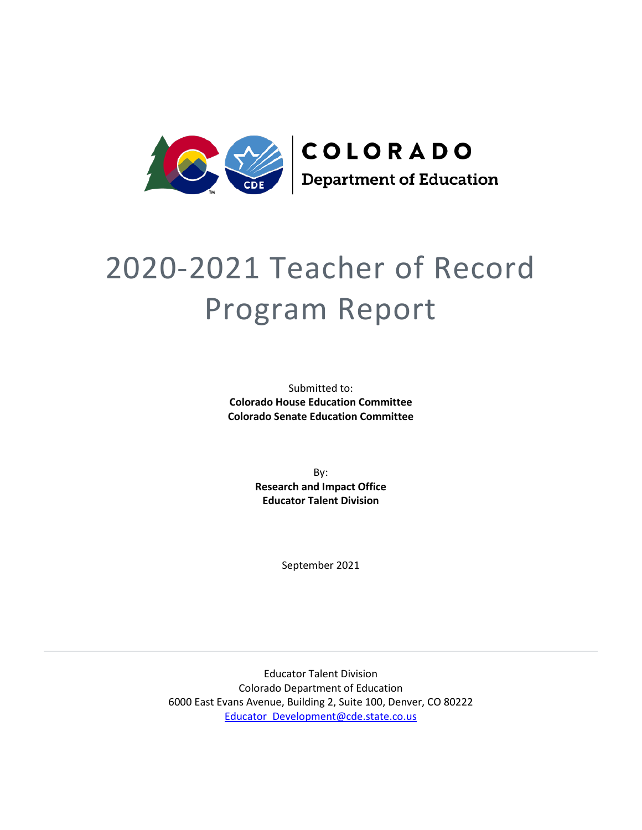

# 2020-2021 Teacher of Record Program Report

Submitted to: **Colorado House Education Committee Colorado Senate Education Committee**

> By: **Research and Impact Office Educator Talent Division**

> > September 2021

Educator Talent Division Colorado Department of Education 6000 East Evans Avenue, Building 2, Suite 100, Denver, CO 80222 [Educator\\_Development@cde.state.co.us](mailto:Educator_Development@cde.state.co.us)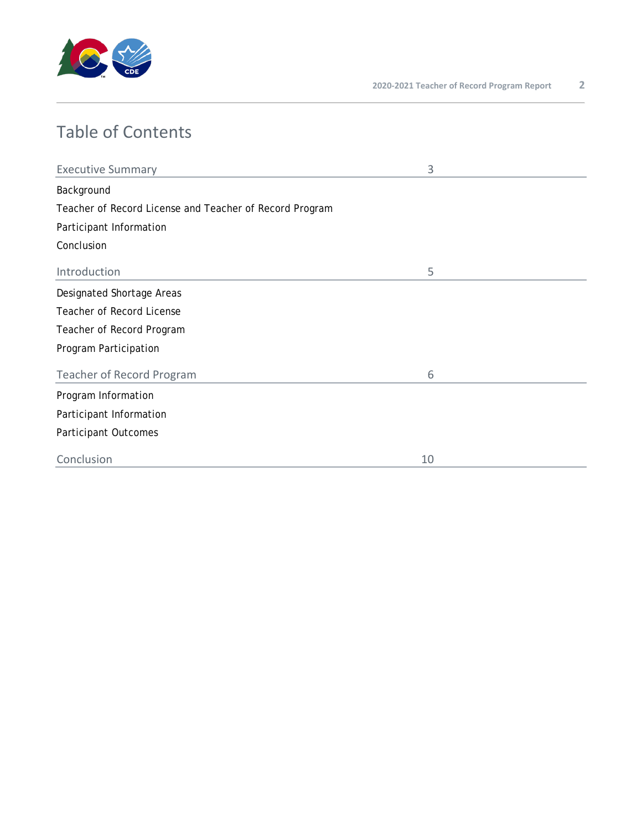

# Table of Contents

| <b>Executive Summary</b>                                | 3  |  |  |  |  |  |  |
|---------------------------------------------------------|----|--|--|--|--|--|--|
| Background                                              |    |  |  |  |  |  |  |
| Teacher of Record License and Teacher of Record Program |    |  |  |  |  |  |  |
| Participant Information                                 |    |  |  |  |  |  |  |
| Conclusion                                              |    |  |  |  |  |  |  |
| Introduction                                            | 5  |  |  |  |  |  |  |
| Designated Shortage Areas                               |    |  |  |  |  |  |  |
| <b>Teacher of Record License</b>                        |    |  |  |  |  |  |  |
| Teacher of Record Program                               |    |  |  |  |  |  |  |
| Program Participation                                   |    |  |  |  |  |  |  |
| <b>Teacher of Record Program</b>                        | 6  |  |  |  |  |  |  |
| Program Information                                     |    |  |  |  |  |  |  |
| Participant Information                                 |    |  |  |  |  |  |  |
| Participant Outcomes                                    |    |  |  |  |  |  |  |
| Conclusion                                              | 10 |  |  |  |  |  |  |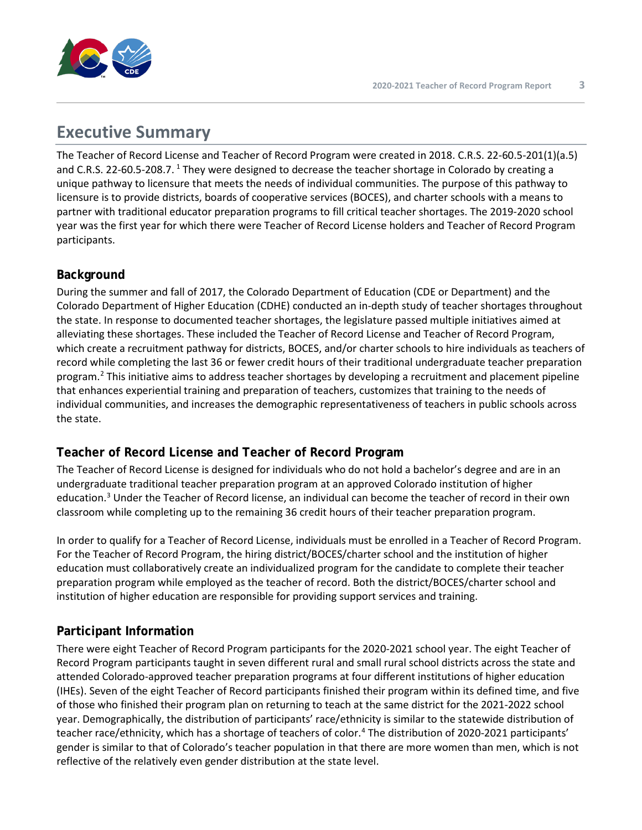

## **Executive Summary**

The Teacher of Record License and Teacher of Record Program were created in 2018. C.R.S. 22-60.5-201(1)(a.5) and C.R.S. 22-60.5-208.7. <sup>[1](#page-9-0)</sup> They were designed to decrease the teacher shortage in Colorado by creating a unique pathway to licensure that meets the needs of individual communities. The purpose of this pathway to licensure is to provide districts, boards of cooperative services (BOCES), and charter schools with a means to partner with traditional educator preparation programs to fill critical teacher shortages. The 2019-2020 school year was the first year for which there were Teacher of Record License holders and Teacher of Record Program participants.

#### **Background**

During the summer and fall of 2017, the Colorado Department of Education (CDE or Department) and the Colorado Department of Higher Education (CDHE) conducted an in-depth study of teacher shortages throughout the state. In response to documented teacher shortages, the legislature passed multiple initiatives aimed at alleviating these shortages. These included the Teacher of Record License and Teacher of Record Program, which create a recruitment pathway for districts, BOCES, and/or charter schools to hire individuals as teachers of record while completing the last 36 or fewer credit hours of their traditional undergraduate teacher preparation program. [2](#page-9-1) This initiative aims to address teacher shortages by developing a recruitment and placement pipeline that enhances experiential training and preparation of teachers, customizes that training to the needs of individual communities, and increases the demographic representativeness of teachers in public schools across the state.

## **Teacher of Record License and Teacher of Record Program**

The Teacher of Record License is designed for individuals who do not hold a bachelor's degree and are in an undergraduate traditional teacher preparation program at an approved Colorado institution of higher education.[3](#page-9-2) Under the Teacher of Record license, an individual can become the teacher of record in their own classroom while completing up to the remaining 36 credit hours of their teacher preparation program.

In order to qualify for a Teacher of Record License, individuals must be enrolled in a Teacher of Record Program. For the Teacher of Record Program, the hiring district/BOCES/charter school and the institution of higher education must collaboratively create an individualized program for the candidate to complete their teacher preparation program while employed as the teacher of record. Both the district/BOCES/charter school and institution of higher education are responsible for providing support services and training.

### **Participant Information**

There were eight Teacher of Record Program participants for the 2020-2021 school year. The eight Teacher of Record Program participants taught in seven different rural and small rural school districts across the state and attended Colorado-approved teacher preparation programs at four different institutions of higher education (IHEs). Seven of the eight Teacher of Record participants finished their program within its defined time, and five of those who finished their program plan on returning to teach at the same district for the 2021-2022 school year. Demographically, the distribution of participants' race/ethnicity is similar to the statewide distribution of teacher race/ethnicity, which has a shortage of teachers of color.<sup>[4](#page-10-0)</sup> The distribution of 2020-2021 participants' gender is similar to that of Colorado's teacher population in that there are more women than men, which is not reflective of the relatively even gender distribution at the state level.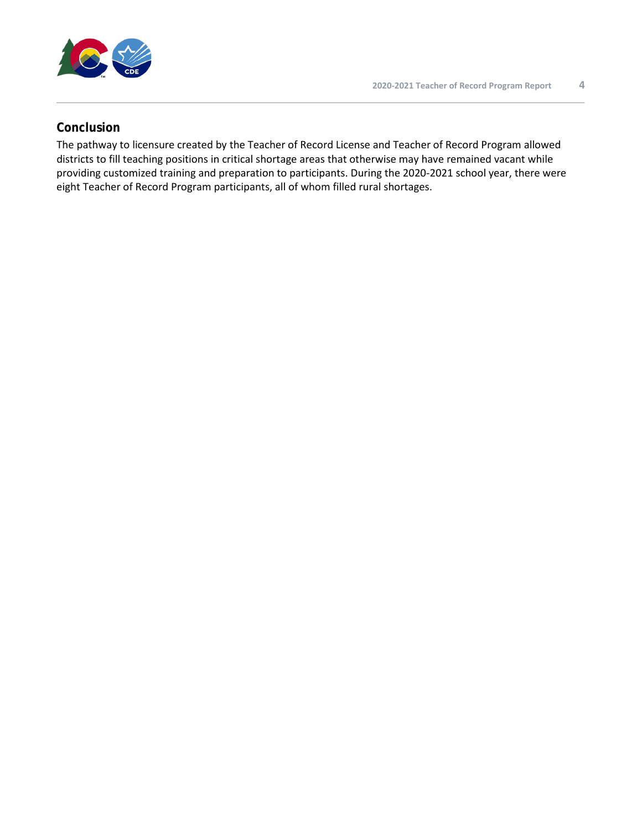

#### **Conclusion**

The pathway to licensure created by the Teacher of Record License and Teacher of Record Program allowed districts to fill teaching positions in critical shortage areas that otherwise may have remained vacant while providing customized training and preparation to participants. During the 2020-2021 school year, there were eight Teacher of Record Program participants, all of whom filled rural shortages.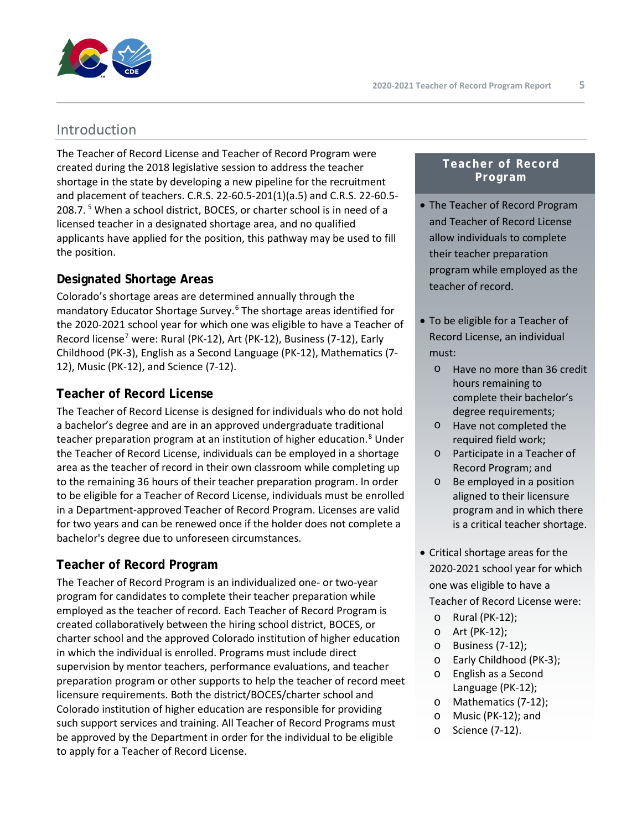

## Introduction

The Teacher of Record License and Teacher of Record Program were created during the 2018 legislative session to address the teacher shortage in the state by developing a new pipeline for the recruitment and placement of teachers. C.R.S. 22-60.5-201(1)(a.5) and C.R.S. 22-60.5- 208.7.<sup>[5](#page-10-1)</sup> When a school district, BOCES, or charter school is in need of a licensed teacher in a designated shortage area, and no qualified applicants have applied for the position, this pathway may be used to fill the position.

#### **Designated Shortage Areas**

Colorado's shortage areas are determined annually through the mandatory Educator Shortage Survey.[6](#page-10-2) The shortage areas identified for the 2020-2021 school year for which one was eligible to have a Teacher of Record license<sup>[7](#page-10-3)</sup> were: Rural (PK-12), Art (PK-12), Business (7-12), Early Childhood (PK-3), English as a Second Language (PK-12), Mathematics (7- 12), Music (PK-12), and Science (7-12).

#### **Teacher of Record License**

The Teacher of Record License is designed for individuals who do not hold a bachelor's degree and are in an approved undergraduate traditional teacher preparation program at an institution of higher education.<sup>[8](#page-10-4)</sup> Under the Teacher of Record License, individuals can be employed in a shortage area as the teacher of record in their own classroom while completing up to the remaining 36 hours of their teacher preparation program. In order to be eligible for a Teacher of Record License, individuals must be enrolled in a Department-approved Teacher of Record Program. Licenses are valid for two years and can be renewed once if the holder does not complete a bachelor's degree due to unforeseen circumstances.

### **Teacher of Record Program**

The Teacher of Record Program is an individualized one- or two-year program for candidates to complete their teacher preparation while employed as the teacher of record. Each Teacher of Record Program is created collaboratively between the hiring school district, BOCES, or charter school and the approved Colorado institution of higher education in which the individual is enrolled. Programs must include direct supervision by mentor teachers, performance evaluations, and teacher preparation program or other supports to help the teacher of record meet licensure requirements. Both the district/BOCES/charter school and Colorado institution of higher education are responsible for providing such support services and training. All Teacher of Record Programs must be approved by the Department in order for the individual to be eligible to apply for a Teacher of Record License.

#### **Teacher of Record Program**

- The Teacher of Record Program and Teacher of Record License allow individuals to complete their teacher preparation program while employed as the teacher of record.
- To be eligible for a Teacher of Record License, an individual must:
	- o Have no more than 36 credit hours remaining to complete their bachelor's degree requirements;
	- o Have not completed the required field work;
	- o Participate in a Teacher of Record Program; and
	- o Be employed in a position aligned to their licensure program and in which there is a critical teacher shortage.
- Critical shortage areas for the 2020-2021 school year for which one was eligible to have a Teacher of Record License were:
	- o Rural (PK-12);
	- o Art (PK-12);
	- o Business (7-12);
	- o Early Childhood (PK-3);
	- o English as a Second Language (PK-12);
	- o Mathematics (7-12);
	- o Music (PK-12); and
	- o Science (7-12).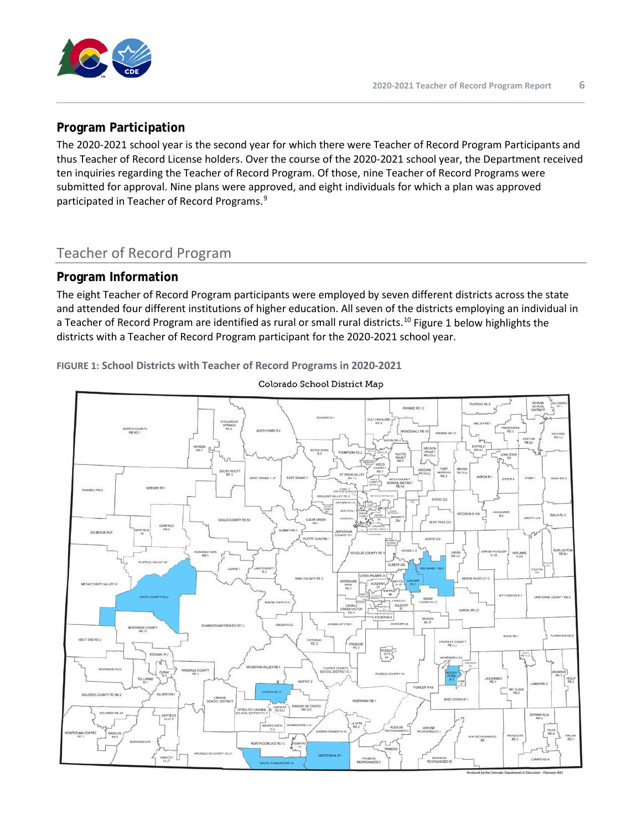

#### **Program Participation**

The 2020-2021 school year is the second year for which there were Teacher of Record Program Participants and thus Teacher of Record License holders. Over the course of the 2020-2021 school year, the Department received ten inquiries regarding the Teacher of Record Program. Of those, nine Teacher of Record Programs were submitted for approval. Nine plans were approved, and eight individuals for which a plan was approved participated in Teacher of Record Programs.<sup>[9](#page-10-5)</sup>

## Teacher of Record Program

#### **Program Information**

The eight Teacher of Record Program participants were employed by seven different districts across the state and attended four different institutions of higher education. All seven of the districts employing an individual in a Teacher of Record Program are identified as rural or small rural districts.<sup>[10](#page-10-6)</sup> Figure 1 below highlights the districts with a Teacher of Record Program participant for the 2020-2021 school year.

#### **FIGURE 1: School Districts with Teacher of Record Programs in 2020-2021**



Colorado School District Map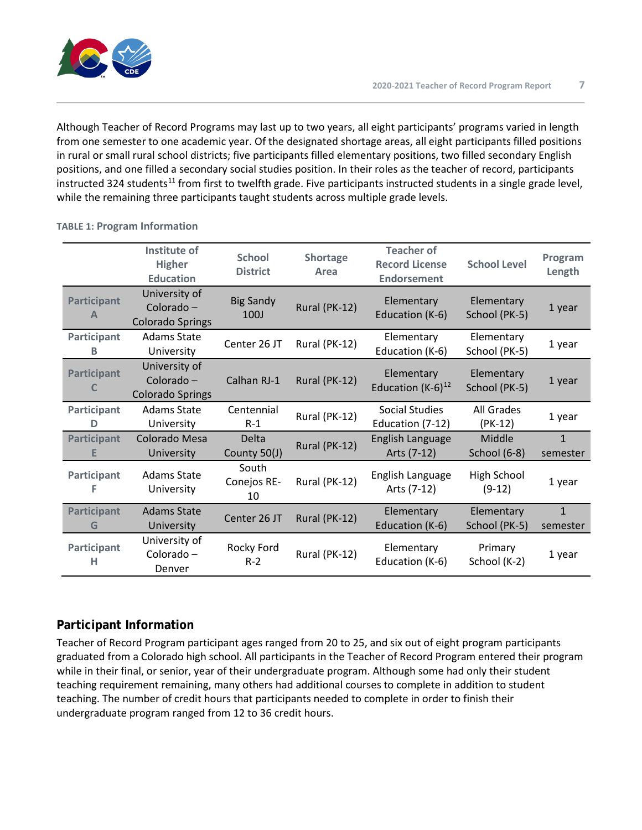Although Teacher of Record Programs may last up to two years, all eight participants' programs varied in length from one semester to one academic year. Of the designated shortage areas, all eight participants filled positions in rural or small rural school districts; five participants filled elementary positions, two filled secondary English positions, and one filled a secondary social studies position. In their roles as the teacher of record, participants instructed 324 students<sup>11</sup> from first to twelfth grade. Five participants instructed students in a single grade level, while the remaining three participants taught students across multiple grade levels.

|                         | Institute of<br><b>Higher</b><br><b>Education</b>      | <b>School</b><br><b>District</b> | Shortage<br>Area | <b>Teacher of</b><br><b>Record License</b><br><b>Endorsement</b> | <b>School Level</b>         | Program<br>Length        |
|-------------------------|--------------------------------------------------------|----------------------------------|------------------|------------------------------------------------------------------|-----------------------------|--------------------------|
| <b>Participant</b><br>A | University of<br>Colorado -<br><b>Colorado Springs</b> | <b>Big Sandy</b><br>100J         | Rural (PK-12)    | Elementary<br>Education (K-6)                                    | Elementary<br>School (PK-5) | 1 year                   |
| Participant<br>B        | Adams State<br>University                              | Center 26 JT                     | Rural (PK-12)    | Elementary<br>Education (K-6)                                    | Elementary<br>School (PK-5) | 1 year                   |
| Participant<br>C        | University of<br>Colorado -<br><b>Colorado Springs</b> | Calhan RJ-1                      | Rural (PK-12)    | Elementary<br>Education $(K-6)^{12}$                             | Elementary<br>School (PK-5) | 1 year                   |
| Participant<br>D        | <b>Adams State</b><br>University                       | Centennial<br>$R-1$              | Rural (PK-12)    | Social Studies<br>Education (7-12)                               | All Grades<br>$(PK-12)$     | 1 year                   |
| <b>Participant</b><br>Е | Colorado Mesa<br>University                            | <b>Delta</b><br>County 50(J)     | Rural (PK-12)    | English Language<br>Arts (7-12)                                  | Middle<br>School (6-8)      | $\mathbf{1}$<br>semester |
| Participant             | Adams State<br>University                              | South<br>Conejos RE-<br>10       | Rural (PK-12)    | English Language<br>Arts (7-12)                                  | High School<br>$(9-12)$     | 1 year                   |
| <b>Participant</b><br>G | <b>Adams State</b><br>University                       | Center 26 JT                     | Rural (PK-12)    | Elementary<br>Education (K-6)                                    | Elementary<br>School (PK-5) | $\mathbf{1}$<br>semester |
| <b>Participant</b><br>н | University of<br>Colorado -<br>Denver                  | Rocky Ford<br>$R-2$              | Rural (PK-12)    | Elementary<br>Education (K-6)                                    | Primary<br>School (K-2)     | 1 year                   |

#### **TABLE 1: Program Information**

### **Participant Information**

Teacher of Record Program participant ages ranged from 20 to 25, and six out of eight program participants graduated from a Colorado high school. All participants in the Teacher of Record Program entered their program while in their final, or senior, year of their undergraduate program. Although some had only their student teaching requirement remaining, many others had additional courses to complete in addition to student teaching. The number of credit hours that participants needed to complete in order to finish their undergraduate program ranged from 12 to 36 credit hours.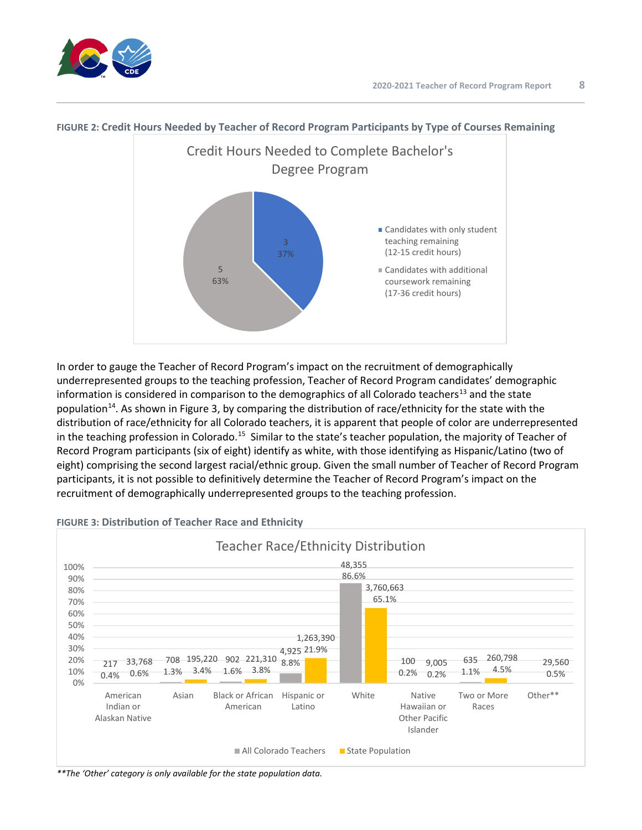



#### **FIGURE 2: Credit Hours Needed by Teacher of Record Program Participants by Type of Courses Remaining**

In order to gauge the Teacher of Record Program's impact on the recruitment of demographically underrepresented groups to the teaching profession, Teacher of Record Program candidates' demographic information is considered in comparison to the demographics of all Colorado teachers<sup>[13](#page-10-9)</sup> and the state population<sup>[14](#page-10-10)</sup>. As shown in Figure 3, by comparing the distribution of race/ethnicity for the state with the distribution of race/ethnicity for all Colorado teachers, it is apparent that people of color are underrepresented in the teaching profession in Colorado.<sup>[15](#page-10-11)</sup> Similar to the state's teacher population, the majority of Teacher of Record Program participants (six of eight) identify as white, with those identifying as Hispanic/Latino (two of eight) comprising the second largest racial/ethnic group. Given the small number of Teacher of Record Program participants, it is not possible to definitively determine the Teacher of Record Program's impact on the recruitment of demographically underrepresented groups to the teaching profession.



#### **FIGURE 3: Distribution of Teacher Race and Ethnicity**

*\*\*The 'Other' category is only available for the state population data.*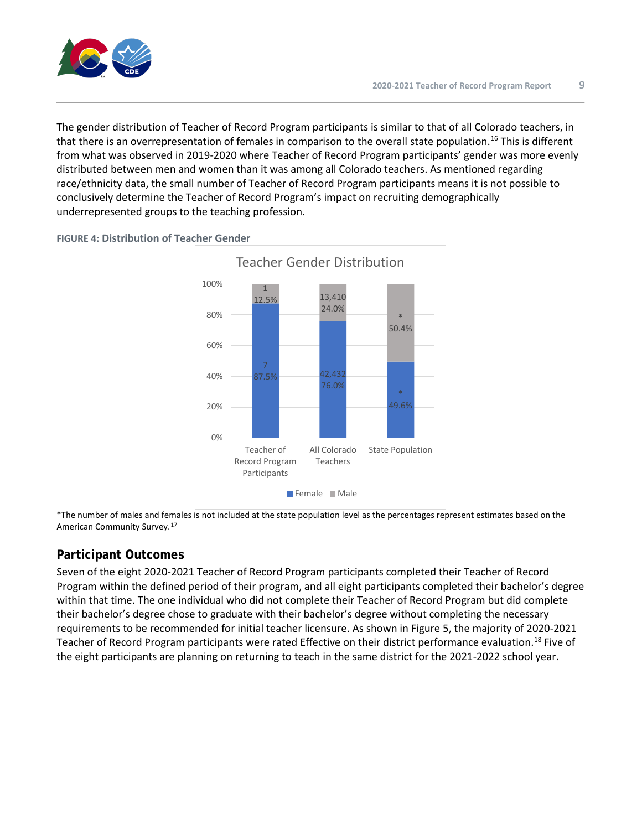

The gender distribution of Teacher of Record Program participants is similar to that of all Colorado teachers, in that there is an overrepresentation of females in comparison to the overall state population.<sup>[16](#page-10-12)</sup> This is different from what was observed in 2019-2020 where Teacher of Record Program participants' gender was more evenly distributed between men and women than it was among all Colorado teachers. As mentioned regarding race/ethnicity data, the small number of Teacher of Record Program participants means it is not possible to conclusively determine the Teacher of Record Program's impact on recruiting demographically underrepresented groups to the teaching profession.



**FIGURE 4: Distribution of Teacher Gender**

\*The number of males and females is not included at the state population level as the percentages represent estimates based on the American Community Survey.[17](#page-10-13)

#### **Participant Outcomes**

Seven of the eight 2020-2021 Teacher of Record Program participants completed their Teacher of Record Program within the defined period of their program, and all eight participants completed their bachelor's degree within that time. The one individual who did not complete their Teacher of Record Program but did complete their bachelor's degree chose to graduate with their bachelor's degree without completing the necessary requirements to be recommended for initial teacher licensure. As shown in Figure 5, the majority of 2020-2021 Teacher of Record Program participants were rated Effective on their district performance evaluation.<sup>[18](#page-10-14)</sup> Five of the eight participants are planning on returning to teach in the same district for the 2021-2022 school year.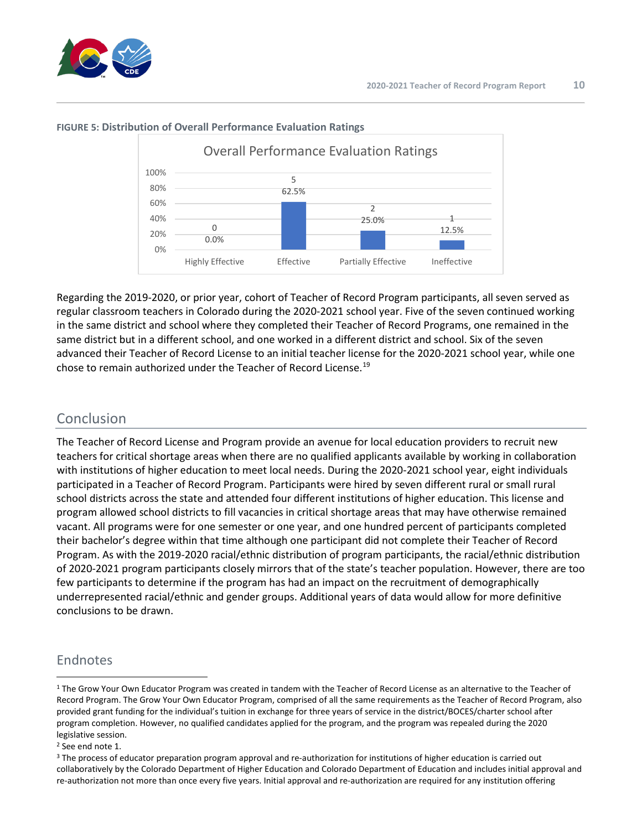



#### **FIGURE 5: Distribution of Overall Performance Evaluation Ratings**

Regarding the 2019-2020, or prior year, cohort of Teacher of Record Program participants, all seven served as regular classroom teachers in Colorado during the 2020-2021 school year. Five of the seven continued working in the same district and school where they completed their Teacher of Record Programs, one remained in the same district but in a different school, and one worked in a different district and school. Six of the seven advanced their Teacher of Record License to an initial teacher license for the 2020-2021 school year, while one chose to remain authorized under the Teacher of Record License.[19](#page-10-15)

## Conclusion

The Teacher of Record License and Program provide an avenue for local education providers to recruit new teachers for critical shortage areas when there are no qualified applicants available by working in collaboration with institutions of higher education to meet local needs. During the 2020-2021 school year, eight individuals participated in a Teacher of Record Program. Participants were hired by seven different rural or small rural school districts across the state and attended four different institutions of higher education. This license and program allowed school districts to fill vacancies in critical shortage areas that may have otherwise remained vacant. All programs were for one semester or one year, and one hundred percent of participants completed their bachelor's degree within that time although one participant did not complete their Teacher of Record Program. As with the 2019-2020 racial/ethnic distribution of program participants, the racial/ethnic distribution of 2020-2021 program participants closely mirrors that of the state's teacher population. However, there are too few participants to determine if the program has had an impact on the recruitment of demographically underrepresented racial/ethnic and gender groups. Additional years of data would allow for more definitive conclusions to be drawn.

## Endnotes

<span id="page-9-0"></span><sup>&</sup>lt;sup>1</sup> The Grow Your Own Educator Program was created in tandem with the Teacher of Record License as an alternative to the Teacher of Record Program. The Grow Your Own Educator Program, comprised of all the same requirements as the Teacher of Record Program, also provided grant funding for the individual's tuition in exchange for three years of service in the district/BOCES/charter school after program completion. However, no qualified candidates applied for the program, and the program was repealed during the 2020 legislative session.

<span id="page-9-1"></span><sup>2</sup> See end note 1.

<span id="page-9-2"></span><sup>&</sup>lt;sup>3</sup> The process of educator preparation program approval and re-authorization for institutions of higher education is carried out collaboratively by the Colorado Department of Higher Education and Colorado Department of Education and includes initial approval and re-authorization not more than once every five years. Initial approval and re-authorization are required for any institution offering